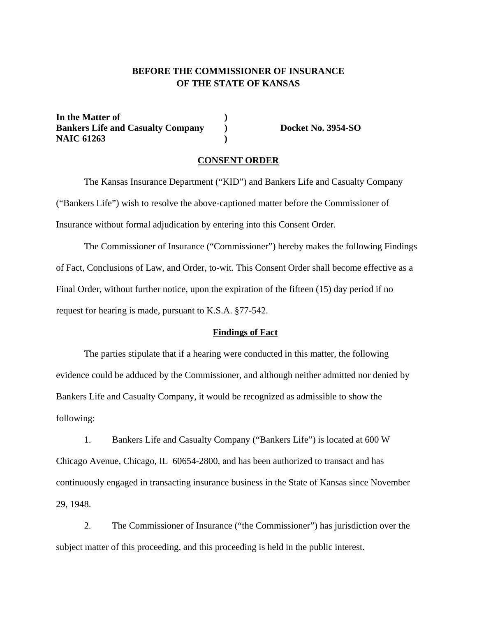# **BEFORE THE COMMISSIONER OF INSURANCE OF THE STATE OF KANSAS**

In the Matter of  $\qquad \qquad$  **) Bankers Life and Casualty Company (a)** Docket No. 3954-SO **NAIC 61263 )** 

## **CONSENT ORDER**

The Kansas Insurance Department ("KID") and Bankers Life and Casualty Company ("Bankers Life") wish to resolve the above-captioned matter before the Commissioner of Insurance without formal adjudication by entering into this Consent Order.

The Commissioner of Insurance ("Commissioner") hereby makes the following Findings of Fact, Conclusions of Law, and Order, to-wit. This Consent Order shall become effective as a Final Order, without further notice, upon the expiration of the fifteen (15) day period if no request for hearing is made, pursuant to K.S.A. §77-542.

## **Findings of Fact**

The parties stipulate that if a hearing were conducted in this matter, the following evidence could be adduced by the Commissioner, and although neither admitted nor denied by Bankers Life and Casualty Company, it would be recognized as admissible to show the following:

1. Bankers Life and Casualty Company ("Bankers Life") is located at 600 W Chicago Avenue, Chicago, IL 60654-2800, and has been authorized to transact and has continuously engaged in transacting insurance business in the State of Kansas since November 29, 1948.

2. The Commissioner of Insurance ("the Commissioner") has jurisdiction over the subject matter of this proceeding, and this proceeding is held in the public interest.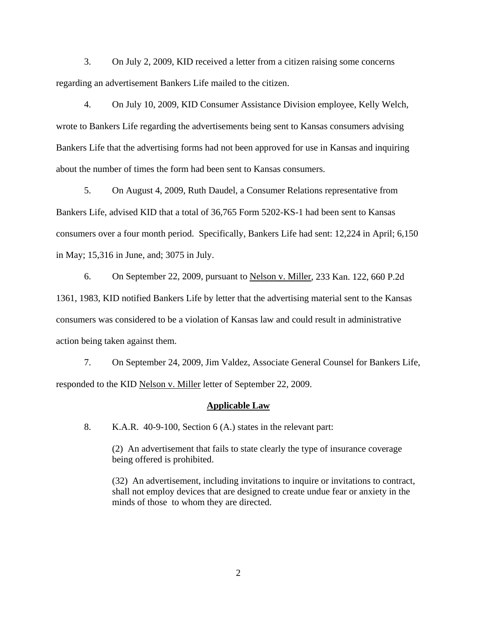3. On July 2, 2009, KID received a letter from a citizen raising some concerns regarding an advertisement Bankers Life mailed to the citizen.

4. On July 10, 2009, KID Consumer Assistance Division employee, Kelly Welch, wrote to Bankers Life regarding the advertisements being sent to Kansas consumers advising Bankers Life that the advertising forms had not been approved for use in Kansas and inquiring about the number of times the form had been sent to Kansas consumers.

5. On August 4, 2009, Ruth Daudel, a Consumer Relations representative from Bankers Life, advised KID that a total of 36,765 Form 5202-KS-1 had been sent to Kansas consumers over a four month period. Specifically, Bankers Life had sent: 12,224 in April; 6,150 in May; 15,316 in June, and; 3075 in July.

6. On September 22, 2009, pursuant to Nelson v. Miller, 233 Kan. 122, 660 P.2d 1361, 1983, KID notified Bankers Life by letter that the advertising material sent to the Kansas consumers was considered to be a violation of Kansas law and could result in administrative action being taken against them.

7. On September 24, 2009, Jim Valdez, Associate General Counsel for Bankers Life, responded to the KID Nelson v. Miller letter of September 22, 2009.

#### **Applicable Law**

8. K.A.R.40-9-100, Section 6 (A.) states in the relevant part:

(2) An advertisement that fails to state clearly the type of insurance coverage being offered is prohibited.

(32) An advertisement, including invitations to inquire or invitations to contract, shall not employ devices that are designed to create undue fear or anxiety in the minds of those to whom they are directed.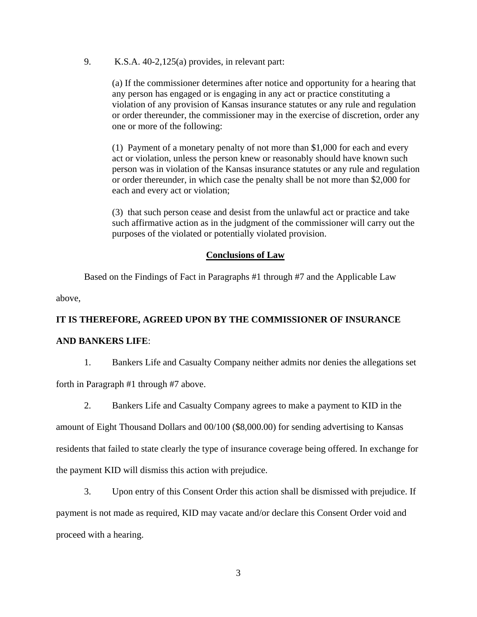9. K.S.A. 40-2,125(a) provides, in relevant part:

(a) If the commissioner determines after notice and opportunity for a hearing that any person has engaged or is engaging in any act or practice constituting a violation of any provision of Kansas insurance statutes or any rule and regulation or order thereunder, the commissioner may in the exercise of discretion, order any one or more of the following:

(1) Payment of a monetary penalty of not more than \$1,000 for each and every act or violation, unless the person knew or reasonably should have known such person was in violation of the Kansas insurance statutes or any rule and regulation or order thereunder, in which case the penalty shall be not more than \$2,000 for each and every act or violation;

(3) that such person cease and desist from the unlawful act or practice and take such affirmative action as in the judgment of the commissioner will carry out the purposes of the violated or potentially violated provision.

# **Conclusions of Law**

Based on the Findings of Fact in Paragraphs #1 through #7 and the Applicable Law

above,

# **IT IS THEREFORE, AGREED UPON BY THE COMMISSIONER OF INSURANCE**

# **AND BANKERS LIFE**:

1. Bankers Life and Casualty Company neither admits nor denies the allegations set

forth in Paragraph #1 through #7 above.

2. Bankers Life and Casualty Company agrees to make a payment to KID in the

amount of Eight Thousand Dollars and 00/100 (\$8,000.00) for sending advertising to Kansas residents that failed to state clearly the type of insurance coverage being offered. In exchange for the payment KID will dismiss this action with prejudice.

3. Upon entry of this Consent Order this action shall be dismissed with prejudice. If payment is not made as required, KID may vacate and/or declare this Consent Order void and proceed with a hearing.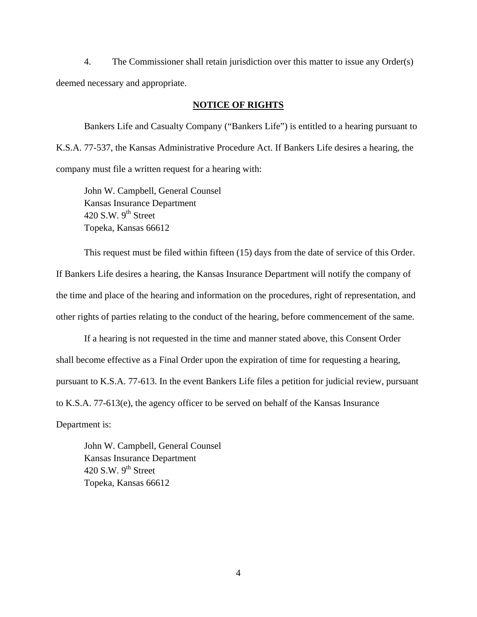4. The Commissioner shall retain jurisdiction over this matter to issue any Order(s) deemed necessary and appropriate.

## **NOTICE OF RIGHTS**

Bankers Life and Casualty Company ("Bankers Life") is entitled to a hearing pursuant to K.S.A. 77-537, the Kansas Administrative Procedure Act. If Bankers Life desires a hearing, the company must file a written request for a hearing with:

 John W. Campbell, General Counsel Kansas Insurance Department 420 S.W.  $9<sup>th</sup>$  Street Topeka, Kansas 66612

This request must be filed within fifteen (15) days from the date of service of this Order. If Bankers Life desires a hearing, the Kansas Insurance Department will notify the company of the time and place of the hearing and information on the procedures, right of representation, and other rights of parties relating to the conduct of the hearing, before commencement of the same.

If a hearing is not requested in the time and manner stated above, this Consent Order shall become effective as a Final Order upon the expiration of time for requesting a hearing, pursuant to K.S.A. 77-613. In the event Bankers Life files a petition for judicial review, pursuant to K.S.A. 77-613(e), the agency officer to be served on behalf of the Kansas Insurance

Department is:

 John W. Campbell, General Counsel Kansas Insurance Department 420 S.W.  $9<sup>th</sup>$  Street Topeka, Kansas 66612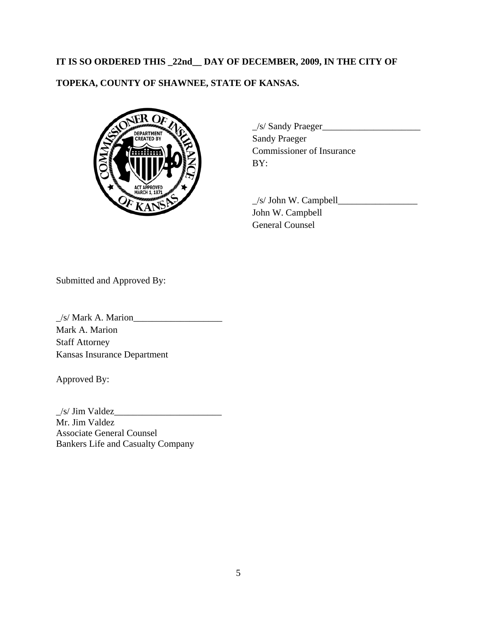# **IT IS SO ORDERED THIS \_22nd\_\_ DAY OF DECEMBER, 2009, IN THE CITY OF TOPEKA, COUNTY OF SHAWNEE, STATE OF KANSAS.**



 $\frac{1}{s}$ /Sandy Praeger Commissioner of Insurance

> $\angle$ s/ John W. Campbell $\angle$  John W. Campbell General Counsel

Submitted and Approved By:

\_/s/ Mark A. Marion\_\_\_\_\_\_\_\_\_\_\_\_\_\_\_\_\_\_\_ Mark A. Marion Staff Attorney Kansas Insurance Department

Approved By:

 $\frac{1}{s}$  Jim Valdez Mr. Jim Valdez Associate General Counsel Bankers Life and Casualty Company